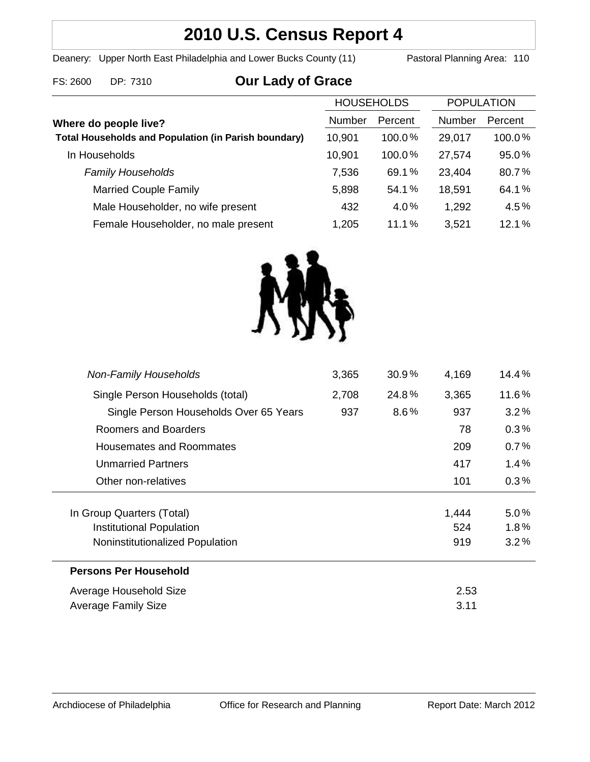# **2010 U.S. Census Report 4**

Deanery: Upper North East Philadelphia and Lower Bucks County (11) Pastoral Planning Area: 110

### FS: 2600 DP: 7310 **Our Lady of Grace**

|                                                             | <b>HOUSEHOLDS</b> |           | <b>POPULATION</b> |         |
|-------------------------------------------------------------|-------------------|-----------|-------------------|---------|
| Where do people live?                                       | Number            | Percent   | <b>Number</b>     | Percent |
| <b>Total Households and Population (in Parish boundary)</b> | 10,901            | $100.0\%$ | 29,017            | 100.0%  |
| In Households                                               | 10,901            | $100.0\%$ | 27,574            | 95.0%   |
| <b>Family Households</b>                                    | 7,536             | 69.1%     | 23,404            | 80.7%   |
| <b>Married Couple Family</b>                                | 5,898             | 54.1%     | 18,591            | 64.1%   |
| Male Householder, no wife present                           | 432               | 4.0%      | 1,292             | 4.5%    |
| Female Householder, no male present                         | 1,205             | 11.1%     | 3,521             | 12.1%   |



| <b>Non-Family Households</b>           | 3,365 | $30.9\%$ | 4,169 | 14.4%   |
|----------------------------------------|-------|----------|-------|---------|
| Single Person Households (total)       | 2,708 | 24.8%    | 3,365 | 11.6%   |
| Single Person Households Over 65 Years | 937   | $8.6\%$  | 937   | 3.2%    |
| Roomers and Boarders                   |       |          | 78    | 0.3%    |
| <b>Housemates and Roommates</b>        |       |          | 209   | 0.7%    |
| <b>Unmarried Partners</b>              |       |          | 417   | 1.4%    |
| Other non-relatives                    |       |          | 101   | $0.3\%$ |
| In Group Quarters (Total)              |       |          | 1,444 | 5.0%    |
| Institutional Population               |       |          | 524   | $1.8\%$ |
| Noninstitutionalized Population        |       |          | 919   | 3.2%    |
| <b>Persons Per Household</b>           |       |          |       |         |
| Average Household Size                 | 2.53  |          |       |         |
| Average Family Size                    | 3.11  |          |       |         |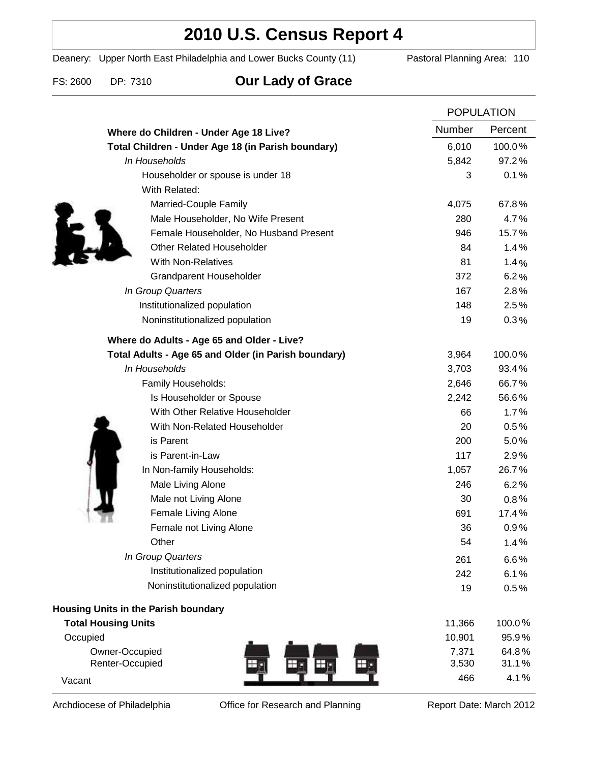## **2010 U.S. Census Report 4**

Deanery: Upper North East Philadelphia and Lower Bucks County (11) Pastoral Planning Area: 110

FS: 2600 DP: 7310 **Our Lady of Grace**

|                                                      |        | <b>POPULATION</b> |  |
|------------------------------------------------------|--------|-------------------|--|
| Where do Children - Under Age 18 Live?               | Number | Percent           |  |
| Total Children - Under Age 18 (in Parish boundary)   | 6,010  | 100.0%            |  |
| In Households                                        | 5,842  | 97.2%             |  |
| Householder or spouse is under 18                    | 3      | 0.1%              |  |
| With Related:                                        |        |                   |  |
| Married-Couple Family                                | 4,075  | 67.8%             |  |
| Male Householder, No Wife Present                    | 280    | 4.7%              |  |
| Female Householder, No Husband Present               | 946    | 15.7%             |  |
| <b>Other Related Householder</b>                     | 84     | 1.4%              |  |
| <b>With Non-Relatives</b>                            | 81     | 1.4%              |  |
| <b>Grandparent Householder</b>                       | 372    | 6.2%              |  |
| In Group Quarters                                    | 167    | 2.8%              |  |
| Institutionalized population                         | 148    | 2.5%              |  |
| Noninstitutionalized population                      | 19     | 0.3%              |  |
| Where do Adults - Age 65 and Older - Live?           |        |                   |  |
| Total Adults - Age 65 and Older (in Parish boundary) | 3,964  | 100.0%            |  |
| In Households                                        | 3,703  | 93.4%             |  |
| Family Households:                                   | 2,646  | 66.7%             |  |
| Is Householder or Spouse                             | 2,242  | 56.6%             |  |
| With Other Relative Householder                      | 66     | 1.7%              |  |
| With Non-Related Householder                         | 20     | 0.5%              |  |
| is Parent                                            | 200    | 5.0%              |  |
| is Parent-in-Law                                     | 117    | 2.9%              |  |
| In Non-family Households:                            | 1,057  | 26.7%             |  |
| Male Living Alone                                    | 246    | 6.2%              |  |
| Male not Living Alone                                | 30     | $0.8\%$           |  |
| Female Living Alone                                  | 691    | 17.4%             |  |
| Female not Living Alone                              | 36     | 0.9%              |  |
| Other                                                | 54     | 1.4%              |  |
| In Group Quarters                                    | 261    | 6.6%              |  |
| Institutionalized population                         | 242    | 6.1%              |  |
| Noninstitutionalized population                      | 19     | 0.5%              |  |
| Housing Units in the Parish boundary                 |        |                   |  |
| <b>Total Housing Units</b>                           | 11,366 | 100.0%            |  |
| Occupied                                             | 10,901 | 95.9%             |  |
| Owner-Occupied                                       | 7,371  | 64.8%             |  |
| Renter-Occupied                                      | 3,530  | 31.1%             |  |
| Vacant                                               | 466    | 4.1%              |  |

Archdiocese of Philadelphia **Office for Research and Planning** Report Date: March 2012